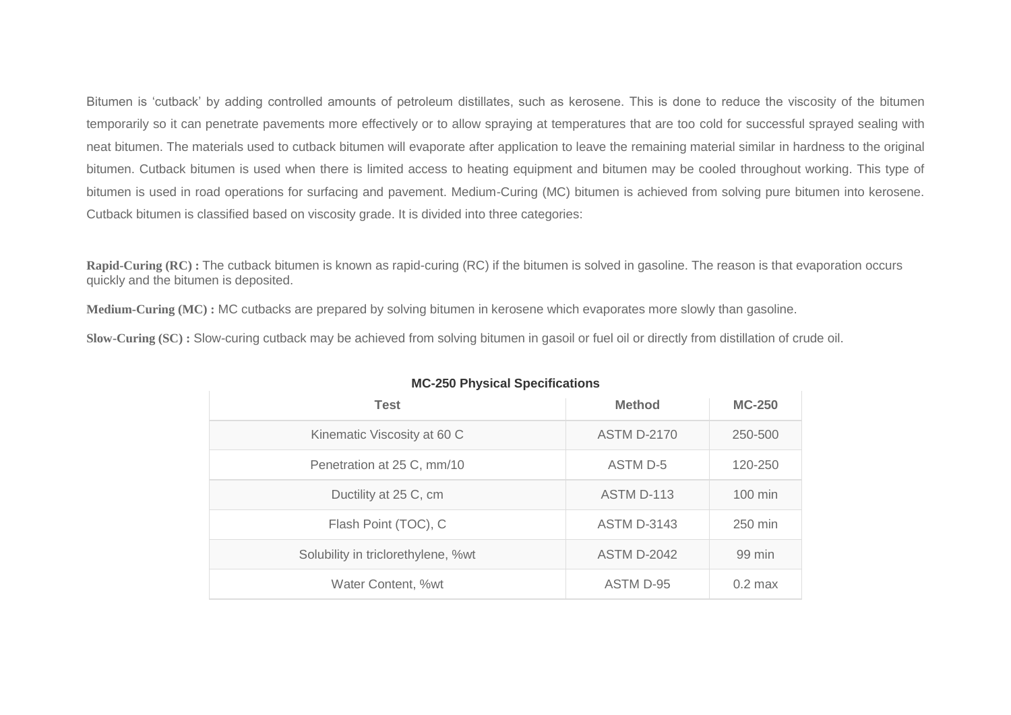Bitumen is 'cutback' by adding controlled amounts of petroleum distillates, such as kerosene. This is done to reduce the viscosity of the bitumen temporarily so it can penetrate pavements more effectively or to allow spraying at temperatures that are too cold for successful sprayed sealing with neat bitumen. The materials used to cutback bitumen will evaporate after application to leave the remaining material similar in hardness to the original bitumen. Cutback bitumen is used when there is limited access to heating equipment and bitumen may be cooled throughout working. This type of bitumen is used in road operations for surfacing and pavement. Medium-Curing (MC) bitumen is achieved from solving pure bitumen into kerosene. Cutback bitumen is classified based on viscosity grade. It is divided into three categories:

**Rapid-Curing (RC) :** The cutback bitumen is known as rapid-curing (RC) if the bitumen is solved in gasoline. The reason is that evaporation occurs quickly and the bitumen is deposited.

**Medium-Curing (MC) :** MC cutbacks are prepared by solving bitumen in kerosene which evaporates more slowly than gasoline.

**Slow-Curing (SC) :** Slow-curing cutback may be achieved from solving bitumen in gasoil or fuel oil or directly from distillation of crude oil.

| <b>Test</b>                        | <b>Method</b>      | <b>MC-250</b>     |
|------------------------------------|--------------------|-------------------|
| Kinematic Viscosity at 60 C        | <b>ASTM D-2170</b> | 250-500           |
| Penetration at 25 C, mm/10         | ASTM D-5           | 120-250           |
| Ductility at 25 C, cm              | ASTM D-113         | $100 \text{ min}$ |
| Flash Point (TOC), C               | <b>ASTM D-3143</b> | 250 min           |
| Solubility in triclorethylene, %wt | <b>ASTM D-2042</b> | 99 min            |
| Water Content, %wt                 | ASTM D-95          | $0.2$ max         |

## **MC-250 Physical Specifications**